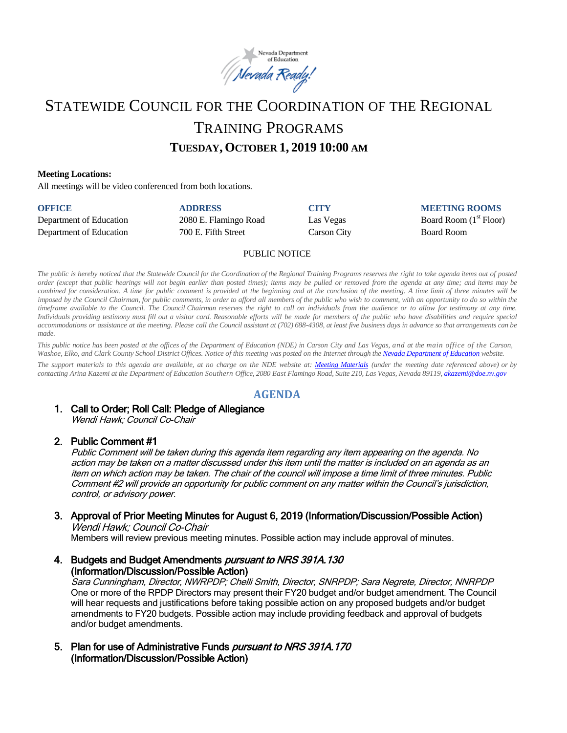

# STATEWIDE COUNCIL FOR THE COORDINATION OF THE REGIONAL TRAINING PROGRAMS **TUESDAY, OCTOBER 1, 2019 10:00 AM**

### **Meeting Locations:**

All meetings will be video conferenced from both locations.

| <b>OFFICE</b>           | <b>ADDRESS</b>        | <b>CITY</b> | <b>MEETING ROOMS</b>     |
|-------------------------|-----------------------|-------------|--------------------------|
| Department of Education | 2080 E. Flamingo Road | Las Vegas   | Board Room $(1st$ Floor) |
| Department of Education | 700 E. Fifth Street   | Carson City | <b>Board Room</b>        |

### PUBLIC NOTICE

The public is hereby noticed that the Statewide Council for the Coordination of the Regional Training Programs reserves the right to take agenda items out of posted order (except that public hearings will not begin earlier than posted times); items may be pulled or removed from the agenda at any time; and items may be combined for consideration. A time for public comment is provided at the beginning and at the conclusion of the meeting. A time limit of three minutes will be imposed by the Council Chairman, for public comments, in order to afford all members of the public who wish to comment, with an opportunity to do so within the timeframe available to the Council. The Council Chairman reserves the right to call on individuals from the audience or to allow for testimony at any time. Individuals providing testimony must fill out a visitor card. Reasonable efforts will be made for members of the public who have disabilities and require special accommodations or assistance at the meeting. Please call the Council assistant at (702) 688-4308, at least five business days in advance so that arrangements can be *made.*

This public notice has been posted at the offices of the Department of Education (NDE) in Carson City and Las Vegas, and at the main office of the Carson, Washoe, Elko, and Clark County School District Offices. Notice of this meeting was posted on the Internet through th[e Nevada Department](http://www.doe.nv.gov/) of Education website.

The support materials to this agenda are available, at no charge on the NDE website at: [Meeting Materials](http://www.doe.nv.gov/StateBoardEducationMeetings/) (under the meeting date referenced above) or by contacting Arina Kazemi at the Department of Education Southern Office, 2080 East Flamingo Road, Suite 210, Las Vegas, Nevada 89119[, akazemi@doe.nv.gov](mailto:akazemi@doe.nv.gov)

### **AGENDA**

#### 1. Call to Order; Roll Call: Pledge of Allegiance Wendi Hawk; Council Co-Chair

### 2. Public Comment #1

Public Comment will be taken during this agenda item regarding any item appearing on the agenda. No action may be taken on a matter discussed under this item until the matter is included on an agenda as an item on which action may be taken. The chair of the council will impose a time limit of three minutes. Public Comment #2 will provide an opportunity for public comment on any matter within the Council's jurisdiction, control, or advisory power.

# 3. Approval of Prior Meeting Minutes for August 6, 2019 (Information/Discussion/Possible Action)

Wendi Hawk; Council Co-Chair

Members will review previous meeting minutes. Possible action may include approval of minutes.

4. Budgets and Budget Amendments *pursuant to NRS 391A.130* (Information/Discussion/Possible Action)

Sara Cunningham, Director, NWRPDP; Chelli Smith, Director, SNRPDP; Sara Negrete, Director, NNRPDP One or more of the RPDP Directors may present their FY20 budget and/or budget amendment. The Council will hear requests and justifications before taking possible action on any proposed budgets and/or budget amendments to FY20 budgets. Possible action may include providing feedback and approval of budgets and/or budget amendments.

5. Plan for use of Administrative Funds pursuant to NRS 391A.170 (Information/Discussion/Possible Action)